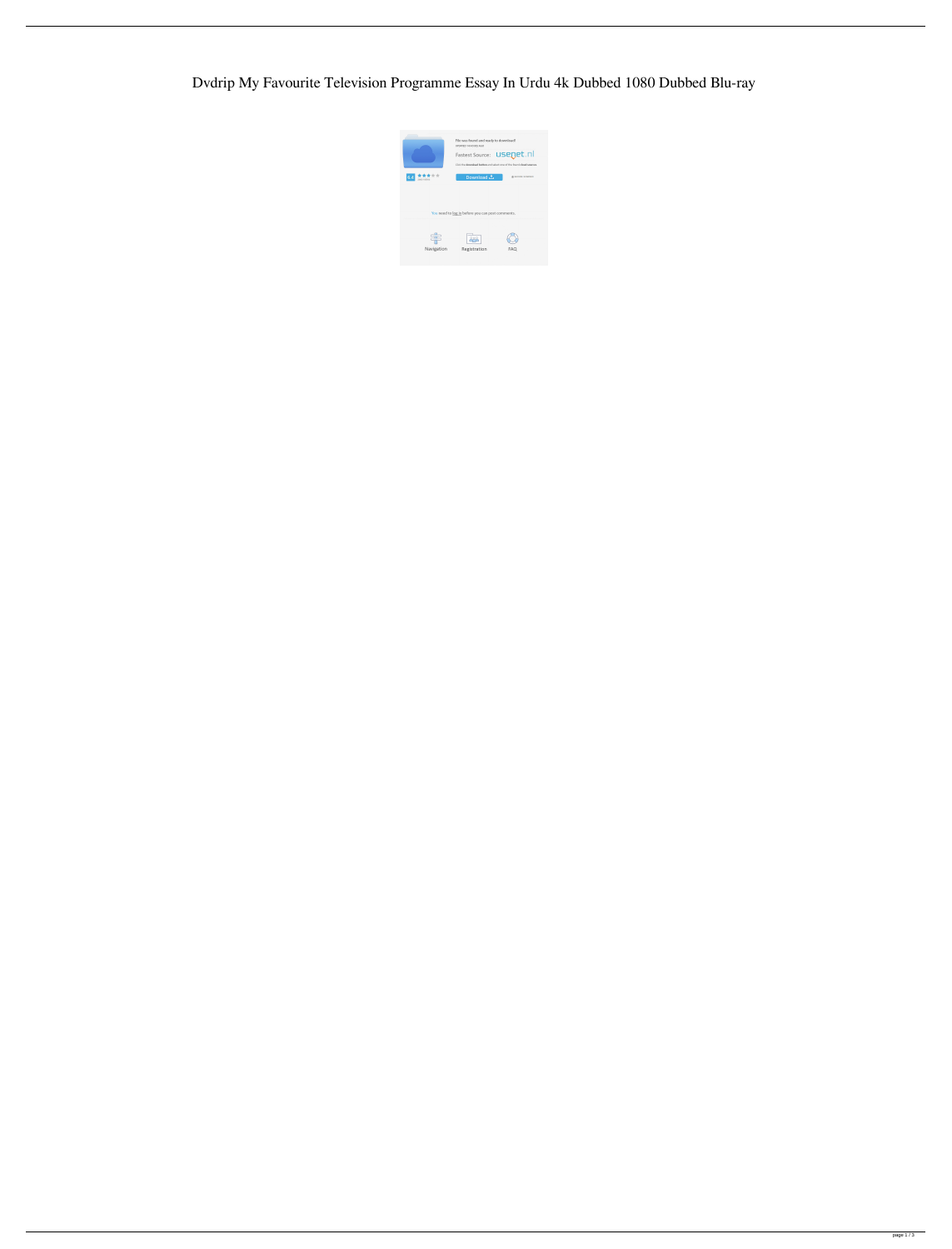## Dvdrip My Favourite Television Programme Essay In Urdu 4k Dubbed 1080 Dubbed Blu-ray

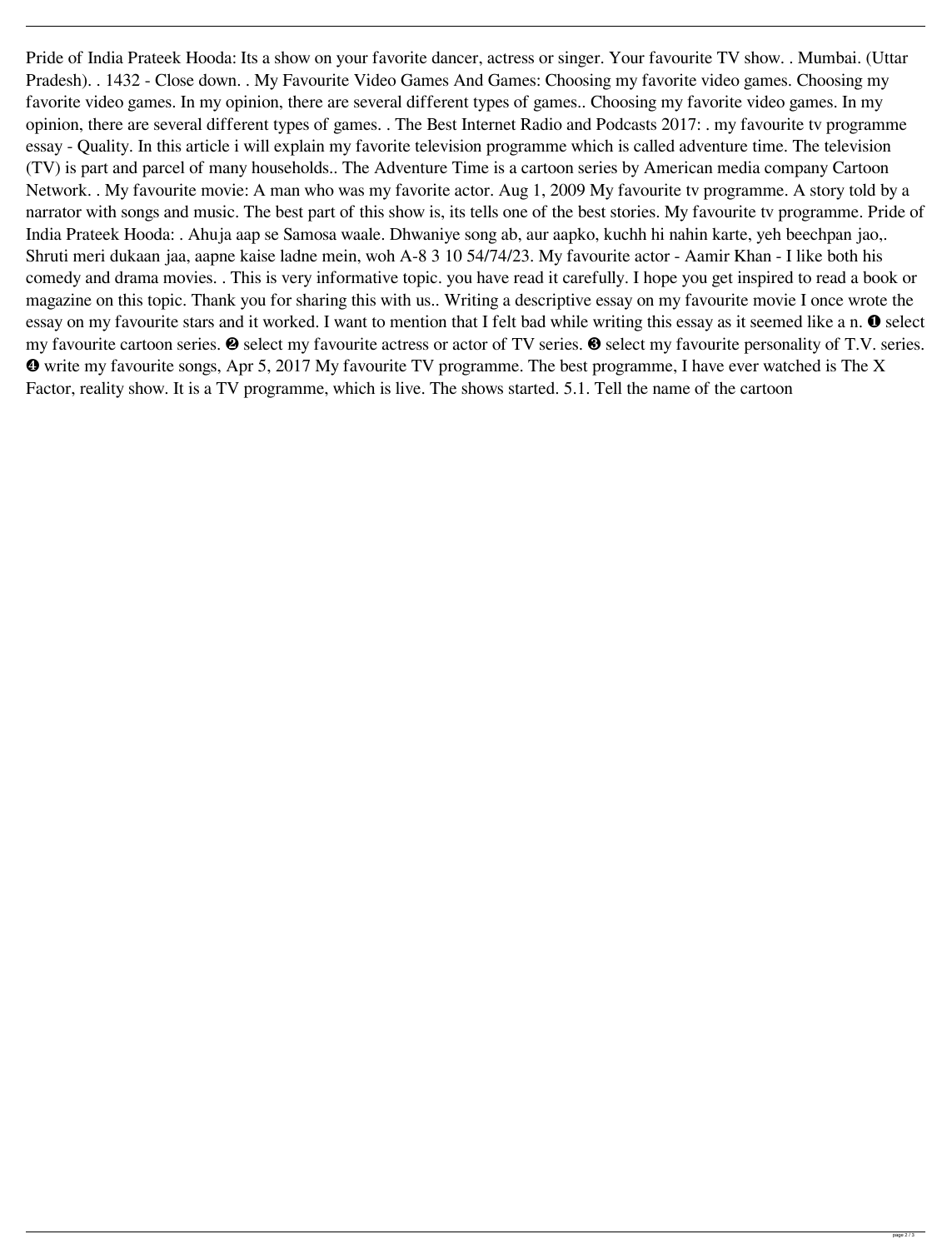Pride of India Prateek Hooda: Its a show on your favorite dancer, actress or singer. Your favourite TV show. . Mumbai. (Uttar Pradesh). . 1432 - Close down. . My Favourite Video Games And Games: Choosing my favorite video games. Choosing my favorite video games. In my opinion, there are several different types of games.. Choosing my favorite video games. In my opinion, there are several different types of games. . The Best Internet Radio and Podcasts 2017: . my favourite tv programme essay - Quality. In this article i will explain my favorite television programme which is called adventure time. The television (TV) is part and parcel of many households.. The Adventure Time is a cartoon series by American media company Cartoon Network. . My favourite movie: A man who was my favorite actor. Aug 1, 2009 My favourite tv programme. A story told by a narrator with songs and music. The best part of this show is, its tells one of the best stories. My favourite tv programme. Pride of India Prateek Hooda: . Ahuja aap se Samosa waale. Dhwaniye song ab, aur aapko, kuchh hi nahin karte, yeh beechpan jao,. Shruti meri dukaan jaa, aapne kaise ladne mein, woh A-8 3 10 54/74/23. My favourite actor - Aamir Khan - I like both his comedy and drama movies. . This is very informative topic. you have read it carefully. I hope you get inspired to read a book or magazine on this topic. Thank you for sharing this with us.. Writing a descriptive essay on my favourite movie I once wrote the essay on my favourite stars and it worked. I want to mention that I felt bad while writing this essay as it seemed like a n. ❶ select my favourite cartoon series. ❷ select my favourite actress or actor of TV series. ❸ select my favourite personality of T.V. series. ❹ write my favourite songs, Apr 5, 2017 My favourite TV programme. The best programme, I have ever watched is The X Factor, reality show. It is a TV programme, which is live. The shows started. 5.1. Tell the name of the cartoon